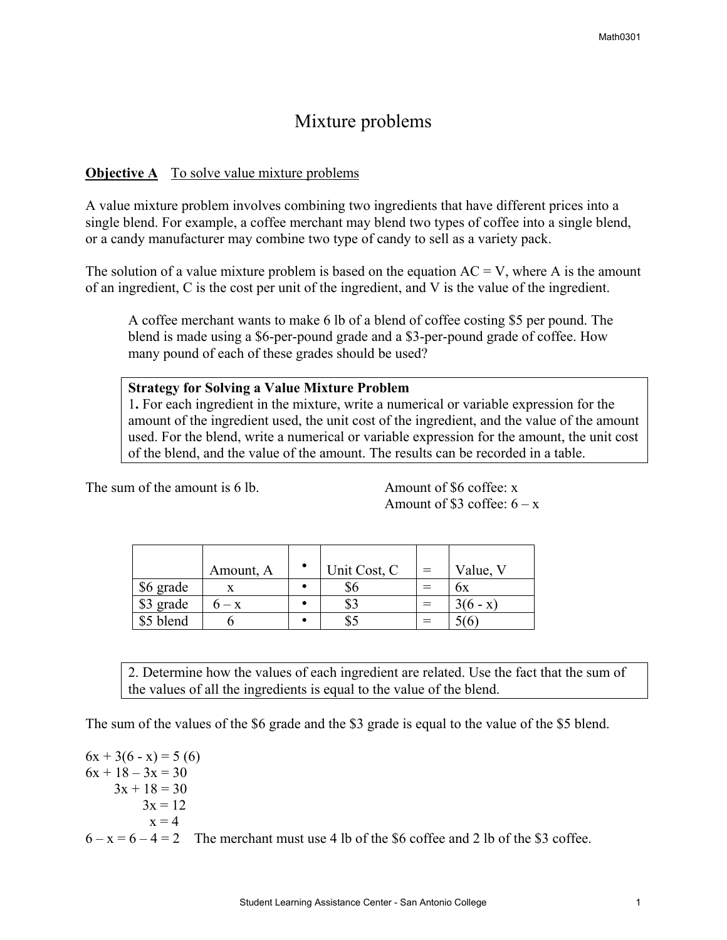# Mixture problems

### **Objective A** To solve value mixture problems

A value mixture problem involves combining two ingredients that have different prices into a single blend. For example, a coffee merchant may blend two types of coffee into a single blend, or a candy manufacturer may combine two type of candy to sell as a variety pack.

The solution of a value mixture problem is based on the equation  $AC = V$ , where A is the amount of an ingredient, C is the cost per unit of the ingredient, and V is the value of the ingredient.

A coffee merchant wants to make 6 lb of a blend of coffee costing \$5 per pound. The blend is made using a \$6-per-pound grade and a \$3-per-pound grade of coffee. How many pound of each of these grades should be used?

#### **Strategy for Solving a Value Mixture Problem**

1**.** For each ingredient in the mixture, write a numerical or variable expression for the amount of the ingredient used, the unit cost of the ingredient, and the value of the amount used. For the blend, write a numerical or variable expression for the amount, the unit cost of the blend, and the value of the amount. The results can be recorded in a table.

The sum of the amount is 6 lb. Amount of \$6 coffee: x

Amount of \$3 coffee:  $6 - x$ 

|           | Amount, A | Unit Cost, C | $=$ | Value, V   |
|-----------|-----------|--------------|-----|------------|
| \$6 grade |           | \$6          | $=$ | bх         |
| \$3 grade |           | \$3          |     | $3(6 - x)$ |
| \$5 blend |           | ت د          |     | 5(6)       |

2. Determine how the values of each ingredient are related. Use the fact that the sum of the values of all the ingredients is equal to the value of the blend.

The sum of the values of the \$6 grade and the \$3 grade is equal to the value of the \$5 blend.

 $6x + 3(6 - x) = 5(6)$  $6x + 18 - 3x = 30$  $3x + 18 = 30$  $3x = 12$  $x = 4$  $6 - x = 6 - 4 = 2$  The merchant must use 4 lb of the \$6 coffee and 2 lb of the \$3 coffee.